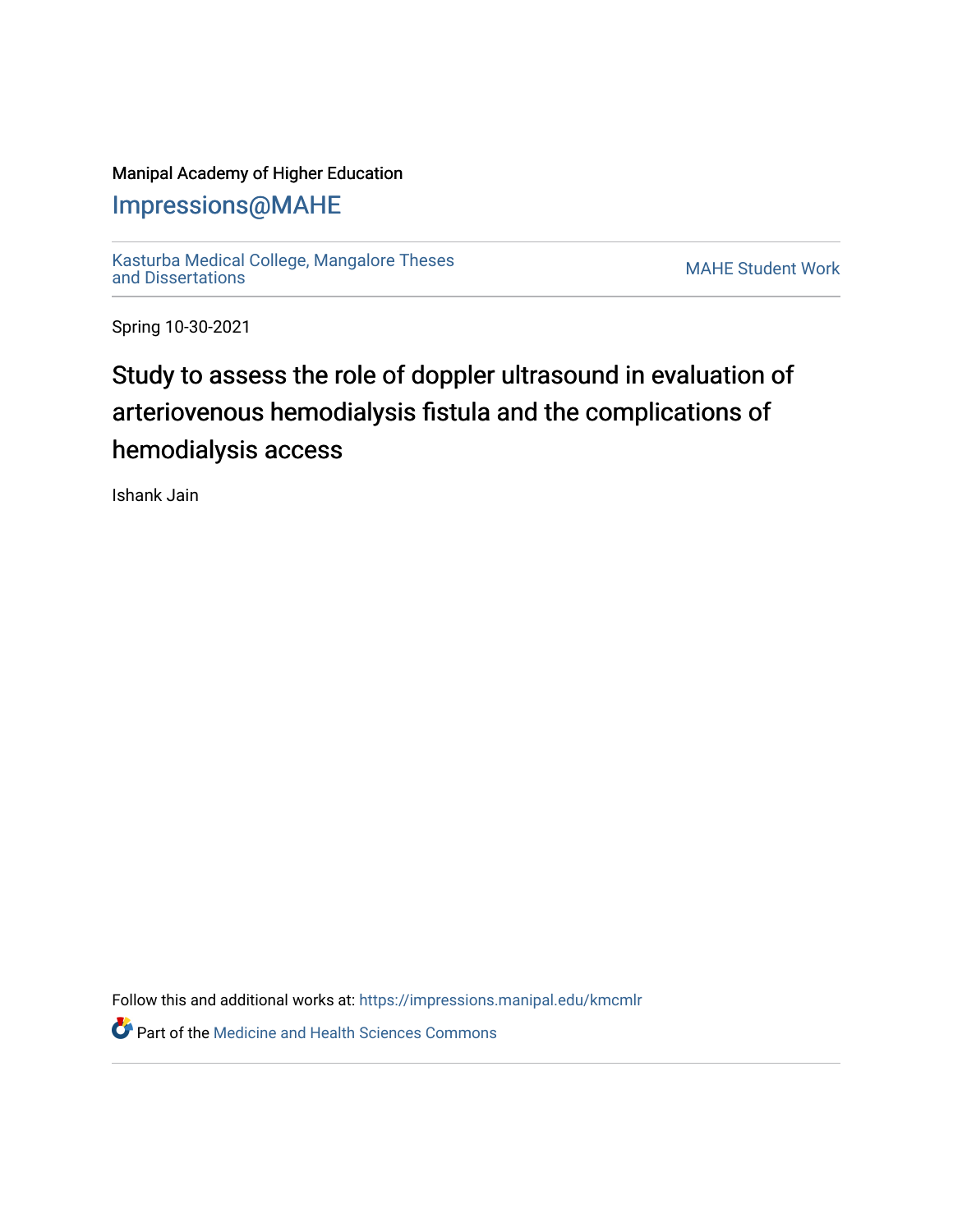## Manipal Academy of Higher Education

## [Impressions@MAHE](https://impressions.manipal.edu/)

[Kasturba Medical College, Mangalore Theses](https://impressions.manipal.edu/kmcmlr) [and Dissertations](https://impressions.manipal.edu/kmcmlr) [MAHE Student Work](https://impressions.manipal.edu/student-work) 

Spring 10-30-2021

# Study to assess the role of doppler ultrasound in evaluation of arteriovenous hemodialysis fistula and the complications of hemodialysis access

Ishank Jain

Follow this and additional works at: [https://impressions.manipal.edu/kmcmlr](https://impressions.manipal.edu/kmcmlr?utm_source=impressions.manipal.edu%2Fkmcmlr%2F244&utm_medium=PDF&utm_campaign=PDFCoverPages) 

**Part of the Medicine and Health Sciences Commons**